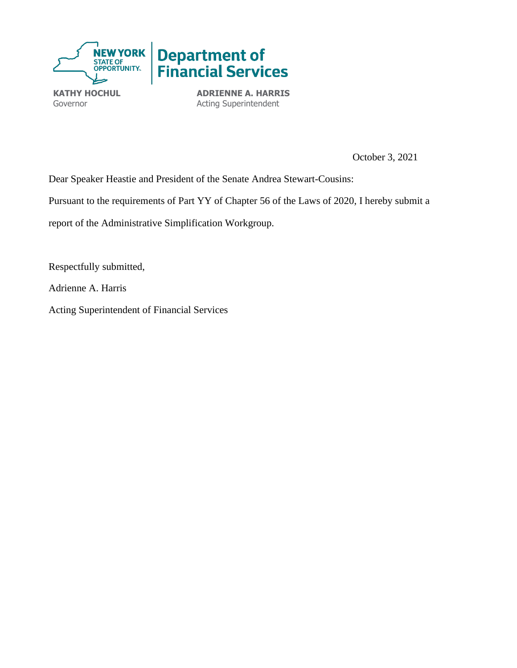

Governor

**ADRIENNE A. HARRIS** Acting Superintendent

October 3, 2021

Dear Speaker Heastie and President of the Senate Andrea Stewart-Cousins:

Pursuant to the requirements of Part YY of Chapter 56 of the Laws of 2020, I hereby submit a

report of the Administrative Simplification Workgroup.

Respectfully submitted,

Adrienne A. Harris

Acting Superintendent of Financial Services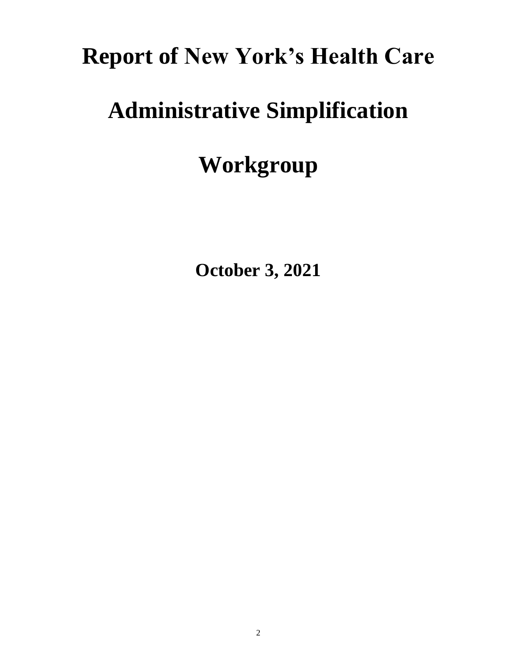# **Report of New York's Health Care**

# **Administrative Simplification**

# **Workgroup**

**October 3, 2021**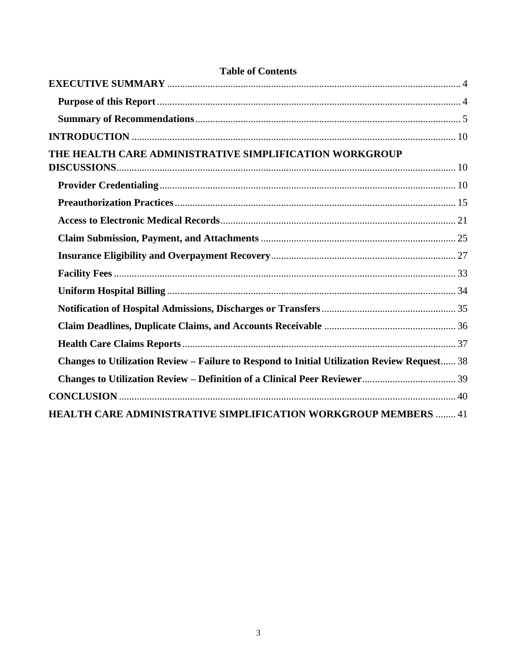| <b>Table of Contents</b>                                                                    |  |
|---------------------------------------------------------------------------------------------|--|
|                                                                                             |  |
|                                                                                             |  |
|                                                                                             |  |
|                                                                                             |  |
| THE HEALTH CARE ADMINISTRATIVE SIMPLIFICATION WORKGROUP                                     |  |
|                                                                                             |  |
|                                                                                             |  |
|                                                                                             |  |
|                                                                                             |  |
|                                                                                             |  |
|                                                                                             |  |
|                                                                                             |  |
|                                                                                             |  |
|                                                                                             |  |
|                                                                                             |  |
|                                                                                             |  |
| Changes to Utilization Review - Failure to Respond to Initial Utilization Review Request 38 |  |
|                                                                                             |  |
|                                                                                             |  |
| <b>HEALTH CARE ADMINISTRATIVE SIMPLIFICATION WORKGROUP MEMBERS  41</b>                      |  |

# $\overline{3}$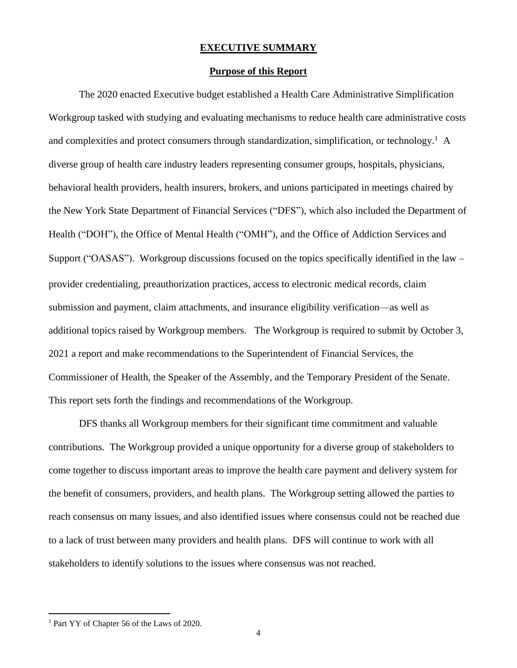#### **EXECUTIVE SUMMARY**

#### **Purpose of this Report**

<span id="page-3-1"></span><span id="page-3-0"></span>The 2020 enacted Executive budget established a Health Care Administrative Simplification Workgroup tasked with studying and evaluating mechanisms to reduce health care administrative costs and complexities and protect consumers through standardization, simplification, or technology.<sup>1</sup> A diverse group of health care industry leaders representing consumer groups, hospitals, physicians, behavioral health providers, health insurers, brokers, and unions participated in meetings chaired by the New York State Department of Financial Services ("DFS"), which also included the Department of Health ("DOH"), the Office of Mental Health ("OMH"), and the Office of Addiction Services and Support ("OASAS"). Workgroup discussions focused on the topics specifically identified in the law − provider credentialing, preauthorization practices, access to electronic medical records, claim submission and payment, claim attachments, and insurance eligibility verification—as well as additional topics raised by Workgroup members. The Workgroup is required to submit by October 3, 2021 a report and make recommendations to the Superintendent of Financial Services, the Commissioner of Health, the Speaker of the Assembly, and the Temporary President of the Senate. This report sets forth the findings and recommendations of the Workgroup.

DFS thanks all Workgroup members for their significant time commitment and valuable contributions. The Workgroup provided a unique opportunity for a diverse group of stakeholders to come together to discuss important areas to improve the health care payment and delivery system for the benefit of consumers, providers, and health plans. The Workgroup setting allowed the parties to reach consensus on many issues, and also identified issues where consensus could not be reached due to a lack of trust between many providers and health plans. DFS will continue to work with all stakeholders to identify solutions to the issues where consensus was not reached.

<sup>&</sup>lt;sup>1</sup> Part YY of Chapter 56 of the Laws of 2020.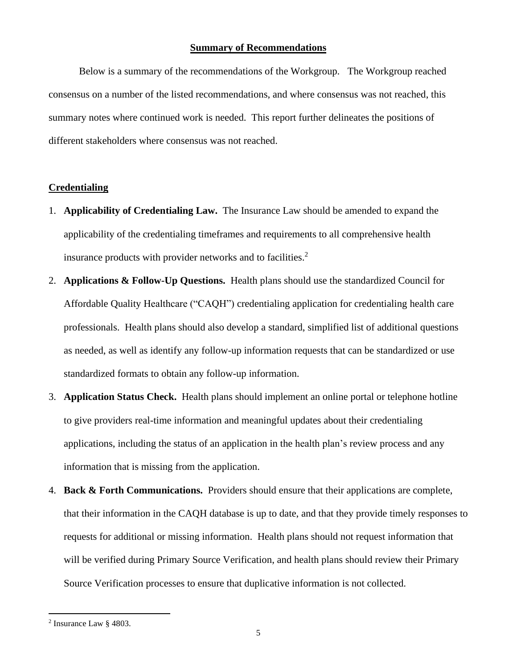#### **Summary of Recommendations**

<span id="page-4-0"></span>Below is a summary of the recommendations of the Workgroup. The Workgroup reached consensus on a number of the listed recommendations, and where consensus was not reached, this summary notes where continued work is needed. This report further delineates the positions of different stakeholders where consensus was not reached.

#### **Credentialing**

- 1. **Applicability of Credentialing Law.** The Insurance Law should be amended to expand the applicability of the credentialing timeframes and requirements to all comprehensive health insurance products with provider networks and to facilities. $2$
- 2. **Applications & Follow-Up Questions.** Health plans should use the standardized Council for Affordable Quality Healthcare ("CAQH") credentialing application for credentialing health care professionals. Health plans should also develop a standard, simplified list of additional questions as needed, as well as identify any follow-up information requests that can be standardized or use standardized formats to obtain any follow-up information.
- 3. **Application Status Check.** Health plans should implement an online portal or telephone hotline to give providers real-time information and meaningful updates about their credentialing applications, including the status of an application in the health plan's review process and any information that is missing from the application.
- 4. **Back & Forth Communications.** Providers should ensure that their applications are complete, that their information in the CAQH database is up to date, and that they provide timely responses to requests for additional or missing information. Health plans should not request information that will be verified during Primary Source Verification, and health plans should review their Primary Source Verification processes to ensure that duplicative information is not collected.

 $2$  Insurance Law  $\S$  4803.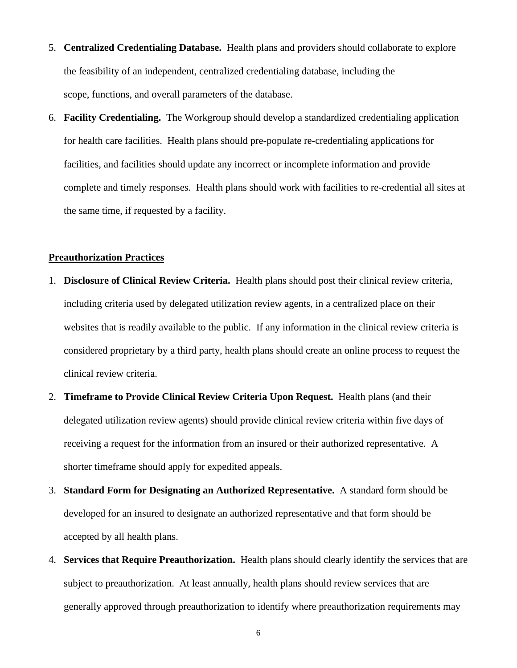- 5. **Centralized Credentialing Database.** Health plans and providers should collaborate to explore the feasibility of an independent, centralized credentialing database, including the scope, functions, and overall parameters of the database.
- 6. **Facility Credentialing.** The Workgroup should develop a standardized credentialing application for health care facilities. Health plans should pre-populate re-credentialing applications for facilities, and facilities should update any incorrect or incomplete information and provide complete and timely responses. Health plans should work with facilities to re-credential all sites at the same time, if requested by a facility.

#### **Preauthorization Practices**

- 1. **Disclosure of Clinical Review Criteria.** Health plans should post their clinical review criteria, including criteria used by delegated utilization review agents, in a centralized place on their websites that is readily available to the public. If any information in the clinical review criteria is considered proprietary by a third party, health plans should create an online process to request the clinical review criteria.
- 2. **Timeframe to Provide Clinical Review Criteria Upon Request.** Health plans (and their delegated utilization review agents) should provide clinical review criteria within five days of receiving a request for the information from an insured or their authorized representative. A shorter timeframe should apply for expedited appeals.
- 3. **Standard Form for Designating an Authorized Representative.** A standard form should be developed for an insured to designate an authorized representative and that form should be accepted by all health plans.
- 4. **Services that Require Preauthorization.** Health plans should clearly identify the services that are subject to preauthorization. At least annually, health plans should review services that are generally approved through preauthorization to identify where preauthorization requirements may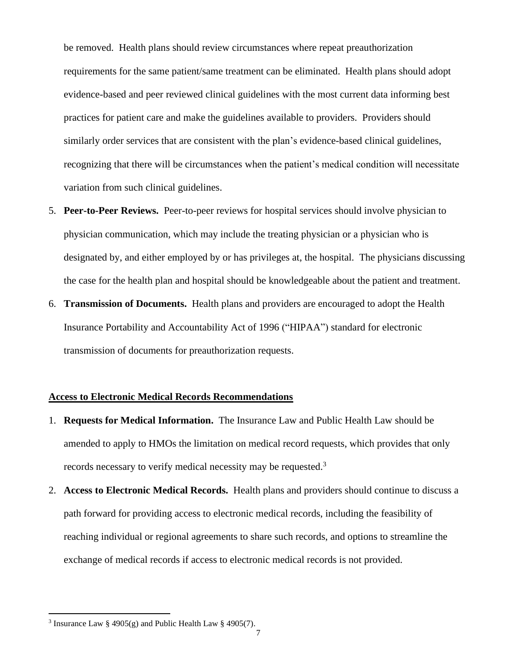be removed. Health plans should review circumstances where repeat preauthorization requirements for the same patient/same treatment can be eliminated. Health plans should adopt evidence-based and peer reviewed clinical guidelines with the most current data informing best practices for patient care and make the guidelines available to providers. Providers should similarly order services that are consistent with the plan's evidence-based clinical guidelines, recognizing that there will be circumstances when the patient's medical condition will necessitate variation from such clinical guidelines.

- 5. **Peer-to-Peer Reviews.** Peer-to-peer reviews for hospital services should involve physician to physician communication, which may include the treating physician or a physician who is designated by, and either employed by or has privileges at, the hospital. The physicians discussing the case for the health plan and hospital should be knowledgeable about the patient and treatment.
- 6. **Transmission of Documents.** Health plans and providers are encouraged to adopt the Health Insurance Portability and Accountability Act of 1996 ("HIPAA") standard for electronic transmission of documents for preauthorization requests.

#### **Access to Electronic Medical Records Recommendations**

- 1. **Requests for Medical Information.** The Insurance Law and Public Health Law should be amended to apply to HMOs the limitation on medical record requests, which provides that only records necessary to verify medical necessity may be requested.<sup>3</sup>
- 2. **Access to Electronic Medical Records.** Health plans and providers should continue to discuss a path forward for providing access to electronic medical records, including the feasibility of reaching individual or regional agreements to share such records, and options to streamline the exchange of medical records if access to electronic medical records is not provided.

<sup>&</sup>lt;sup>3</sup> Insurance Law § 4905(g) and Public Health Law § 4905(7).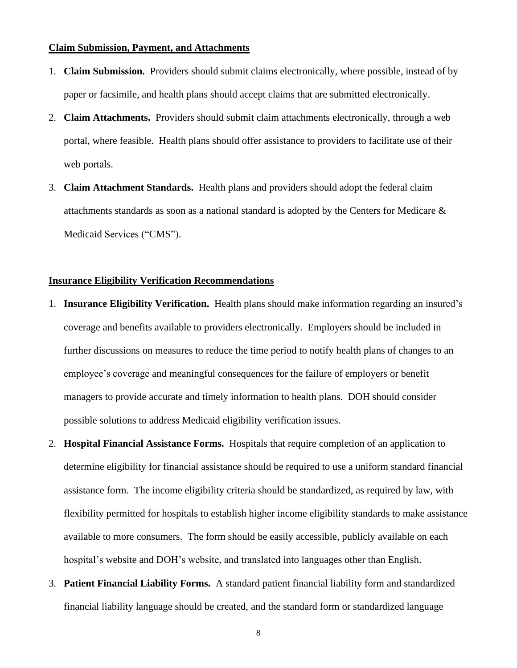#### **Claim Submission, Payment, and Attachments**

- 1. **Claim Submission.** Providers should submit claims electronically, where possible, instead of by paper or facsimile, and health plans should accept claims that are submitted electronically.
- 2. **Claim Attachments.** Providers should submit claim attachments electronically, through a web portal, where feasible. Health plans should offer assistance to providers to facilitate use of their web portals.
- 3. **Claim Attachment Standards.** Health plans and providers should adopt the federal claim attachments standards as soon as a national standard is adopted by the Centers for Medicare & Medicaid Services ("CMS").

#### **Insurance Eligibility Verification Recommendations**

- 1. **Insurance Eligibility Verification.** Health plans should make information regarding an insured's coverage and benefits available to providers electronically. Employers should be included in further discussions on measures to reduce the time period to notify health plans of changes to an employee's coverage and meaningful consequences for the failure of employers or benefit managers to provide accurate and timely information to health plans. DOH should consider possible solutions to address Medicaid eligibility verification issues.
- 2. **Hospital Financial Assistance Forms.** Hospitals that require completion of an application to determine eligibility for financial assistance should be required to use a uniform standard financial assistance form. The income eligibility criteria should be standardized, as required by law, with flexibility permitted for hospitals to establish higher income eligibility standards to make assistance available to more consumers. The form should be easily accessible, publicly available on each hospital's website and DOH's website, and translated into languages other than English.
- 3. **Patient Financial Liability Forms.** A standard patient financial liability form and standardized financial liability language should be created, and the standard form or standardized language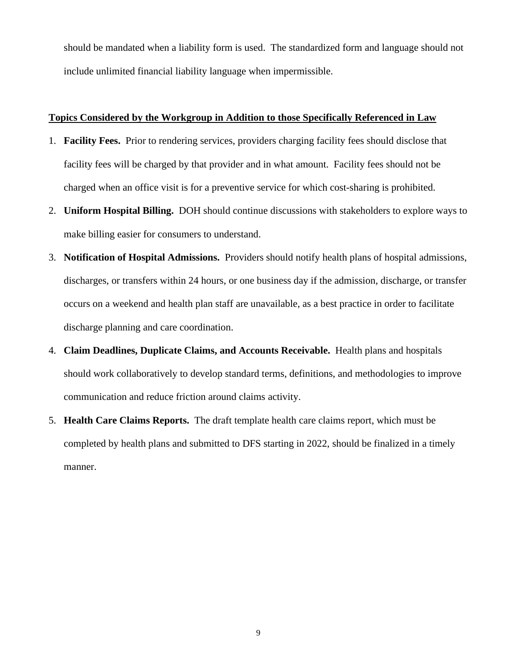should be mandated when a liability form is used. The standardized form and language should not include unlimited financial liability language when impermissible.

# **Topics Considered by the Workgroup in Addition to those Specifically Referenced in Law**

- 1. **Facility Fees.** Prior to rendering services, providers charging facility fees should disclose that facility fees will be charged by that provider and in what amount. Facility fees should not be charged when an office visit is for a preventive service for which cost-sharing is prohibited.
- 2. **Uniform Hospital Billing.** DOH should continue discussions with stakeholders to explore ways to make billing easier for consumers to understand.
- 3. **Notification of Hospital Admissions.** Providers should notify health plans of hospital admissions, discharges, or transfers within 24 hours, or one business day if the admission, discharge, or transfer occurs on a weekend and health plan staff are unavailable, as a best practice in order to facilitate discharge planning and care coordination.
- 4. **Claim Deadlines, Duplicate Claims, and Accounts Receivable.** Health plans and hospitals should work collaboratively to develop standard terms, definitions, and methodologies to improve communication and reduce friction around claims activity.
- 5. **Health Care Claims Reports.** The draft template health care claims report, which must be completed by health plans and submitted to DFS starting in 2022, should be finalized in a timely manner.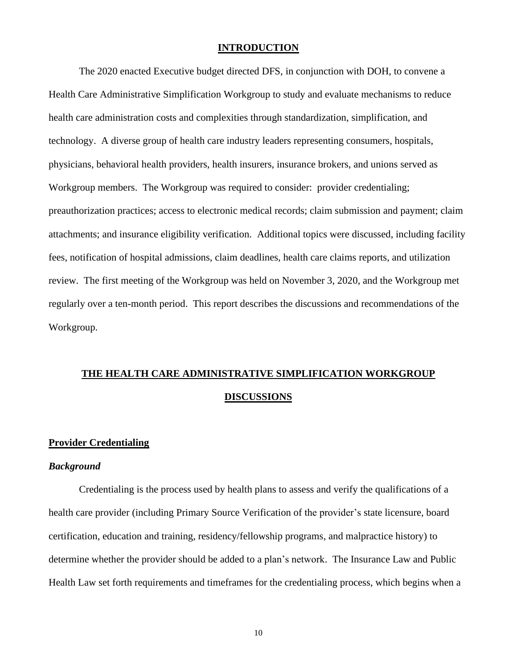#### **INTRODUCTION**

<span id="page-9-0"></span>The 2020 enacted Executive budget directed DFS, in conjunction with DOH, to convene a Health Care Administrative Simplification Workgroup to study and evaluate mechanisms to reduce health care administration costs and complexities through standardization, simplification, and technology. A diverse group of health care industry leaders representing consumers, hospitals, physicians, behavioral health providers, health insurers, insurance brokers, and unions served as Workgroup members. The Workgroup was required to consider: provider credentialing; preauthorization practices; access to electronic medical records; claim submission and payment; claim attachments; and insurance eligibility verification. Additional topics were discussed, including facility fees, notification of hospital admissions, claim deadlines, health care claims reports, and utilization review. The first meeting of the Workgroup was held on November 3, 2020, and the Workgroup met regularly over a ten-month period. This report describes the discussions and recommendations of the Workgroup.

# <span id="page-9-1"></span>**THE HEALTH CARE ADMINISTRATIVE SIMPLIFICATION WORKGROUP DISCUSSIONS**

#### <span id="page-9-2"></span>**Provider Credentialing**

#### *Background*

Credentialing is the process used by health plans to assess and verify the qualifications of a health care provider (including Primary Source Verification of the provider's state licensure, board certification, education and training, residency/fellowship programs, and malpractice history) to determine whether the provider should be added to a plan's network. The Insurance Law and Public Health Law set forth requirements and timeframes for the credentialing process, which begins when a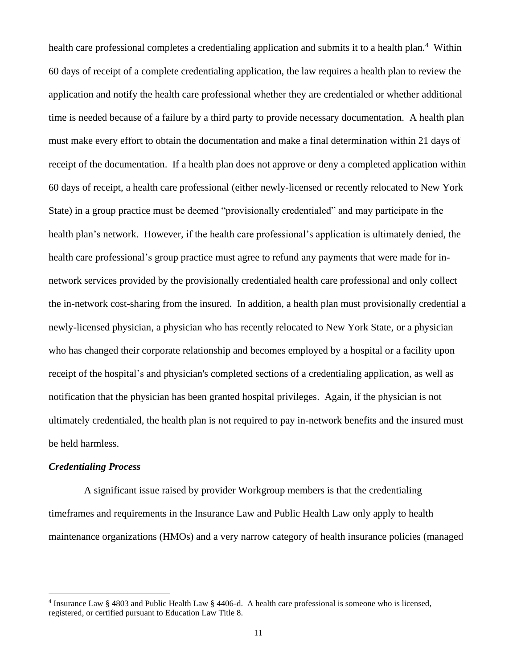health care professional completes a credentialing application and submits it to a health plan.<sup>4</sup> Within 60 days of receipt of a complete credentialing application, the law requires a health plan to review the application and notify the health care professional whether they are credentialed or whether additional time is needed because of a failure by a third party to provide necessary documentation. A health plan must make every effort to obtain the documentation and make a final determination within 21 days of receipt of the documentation. If a health plan does not approve or deny a completed application within 60 days of receipt, a health care professional (either newly-licensed or recently relocated to New York State) in a group practice must be deemed "provisionally credentialed" and may participate in the health plan's network. However, if the health care professional's application is ultimately denied, the health care professional's group practice must agree to refund any payments that were made for innetwork services provided by the provisionally credentialed health care professional and only collect the in-network cost-sharing from the insured. In addition, a health plan must provisionally credential a newly-licensed physician, a physician who has recently relocated to New York State, or a physician who has changed their corporate relationship and becomes employed by a hospital or a facility upon receipt of the hospital's and physician's completed sections of a credentialing application, as well as notification that the physician has been granted hospital privileges. Again, if the physician is not ultimately credentialed, the health plan is not required to pay in-network benefits and the insured must be held harmless.

#### *Credentialing Process*

 A significant issue raised by provider Workgroup members is that the credentialing timeframes and requirements in the Insurance Law and Public Health Law only apply to health maintenance organizations (HMOs) and a very narrow category of health insurance policies (managed

<sup>4</sup> Insurance Law § 4803 and Public Health Law § 4406-d. A health care professional is someone who is licensed, registered, or certified pursuant to Education Law Title 8.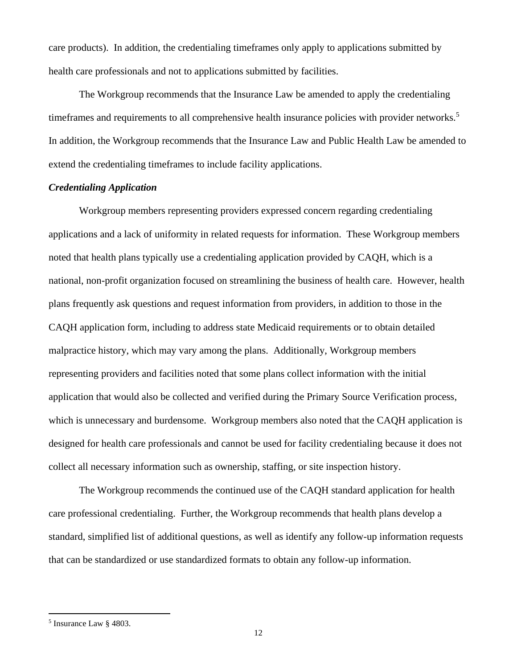care products). In addition, the credentialing timeframes only apply to applications submitted by health care professionals and not to applications submitted by facilities.

The Workgroup recommends that the Insurance Law be amended to apply the credentialing timeframes and requirements to all comprehensive health insurance policies with provider networks.<sup>5</sup> In addition, the Workgroup recommends that the Insurance Law and Public Health Law be amended to extend the credentialing timeframes to include facility applications.

# *Credentialing Application*

Workgroup members representing providers expressed concern regarding credentialing applications and a lack of uniformity in related requests for information. These Workgroup members noted that health plans typically use a credentialing application provided by CAQH, which is a national, non-profit organization focused on streamlining the business of health care. However, health plans frequently ask questions and request information from providers, in addition to those in the CAQH application form, including to address state Medicaid requirements or to obtain detailed malpractice history, which may vary among the plans. Additionally, Workgroup members representing providers and facilities noted that some plans collect information with the initial application that would also be collected and verified during the Primary Source Verification process, which is unnecessary and burdensome. Workgroup members also noted that the CAQH application is designed for health care professionals and cannot be used for facility credentialing because it does not collect all necessary information such as ownership, staffing, or site inspection history.

The Workgroup recommends the continued use of the CAQH standard application for health care professional credentialing. Further, the Workgroup recommends that health plans develop a standard, simplified list of additional questions, as well as identify any follow-up information requests that can be standardized or use standardized formats to obtain any follow-up information.

<sup>5</sup> Insurance Law § 4803.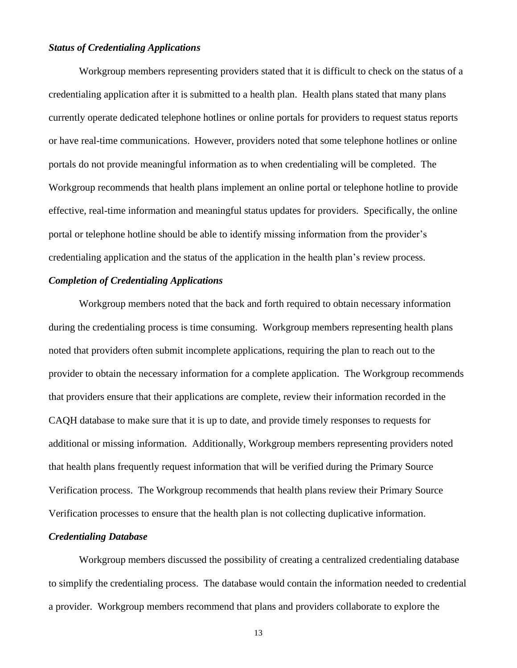# *Status of Credentialing Applications*

Workgroup members representing providers stated that it is difficult to check on the status of a credentialing application after it is submitted to a health plan. Health plans stated that many plans currently operate dedicated telephone hotlines or online portals for providers to request status reports or have real-time communications. However, providers noted that some telephone hotlines or online portals do not provide meaningful information as to when credentialing will be completed. The Workgroup recommends that health plans implement an online portal or telephone hotline to provide effective, real-time information and meaningful status updates for providers. Specifically, the online portal or telephone hotline should be able to identify missing information from the provider's credentialing application and the status of the application in the health plan's review process.

#### *Completion of Credentialing Applications*

Workgroup members noted that the back and forth required to obtain necessary information during the credentialing process is time consuming. Workgroup members representing health plans noted that providers often submit incomplete applications, requiring the plan to reach out to the provider to obtain the necessary information for a complete application. The Workgroup recommends that providers ensure that their applications are complete, review their information recorded in the CAQH database to make sure that it is up to date, and provide timely responses to requests for additional or missing information. Additionally, Workgroup members representing providers noted that health plans frequently request information that will be verified during the Primary Source Verification process. The Workgroup recommends that health plans review their Primary Source Verification processes to ensure that the health plan is not collecting duplicative information.

#### *Credentialing Database*

Workgroup members discussed the possibility of creating a centralized credentialing database to simplify the credentialing process. The database would contain the information needed to credential a provider. Workgroup members recommend that plans and providers collaborate to explore the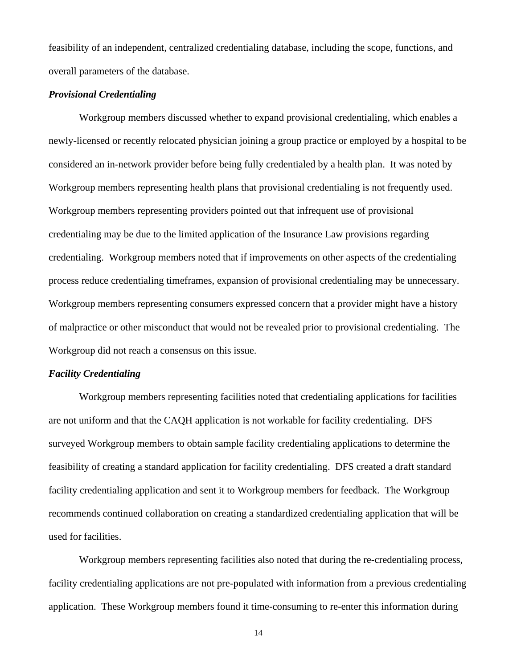feasibility of an independent, centralized credentialing database, including the scope, functions, and overall parameters of the database.

#### *Provisional Credentialing*

Workgroup members discussed whether to expand provisional credentialing, which enables a newly-licensed or recently relocated physician joining a group practice or employed by a hospital to be considered an in-network provider before being fully credentialed by a health plan. It was noted by Workgroup members representing health plans that provisional credentialing is not frequently used. Workgroup members representing providers pointed out that infrequent use of provisional credentialing may be due to the limited application of the Insurance Law provisions regarding credentialing. Workgroup members noted that if improvements on other aspects of the credentialing process reduce credentialing timeframes, expansion of provisional credentialing may be unnecessary. Workgroup members representing consumers expressed concern that a provider might have a history of malpractice or other misconduct that would not be revealed prior to provisional credentialing. The Workgroup did not reach a consensus on this issue.

#### *Facility Credentialing*

Workgroup members representing facilities noted that credentialing applications for facilities are not uniform and that the CAQH application is not workable for facility credentialing. DFS surveyed Workgroup members to obtain sample facility credentialing applications to determine the feasibility of creating a standard application for facility credentialing. DFS created a draft standard facility credentialing application and sent it to Workgroup members for feedback. The Workgroup recommends continued collaboration on creating a standardized credentialing application that will be used for facilities.

Workgroup members representing facilities also noted that during the re-credentialing process, facility credentialing applications are not pre-populated with information from a previous credentialing application. These Workgroup members found it time-consuming to re-enter this information during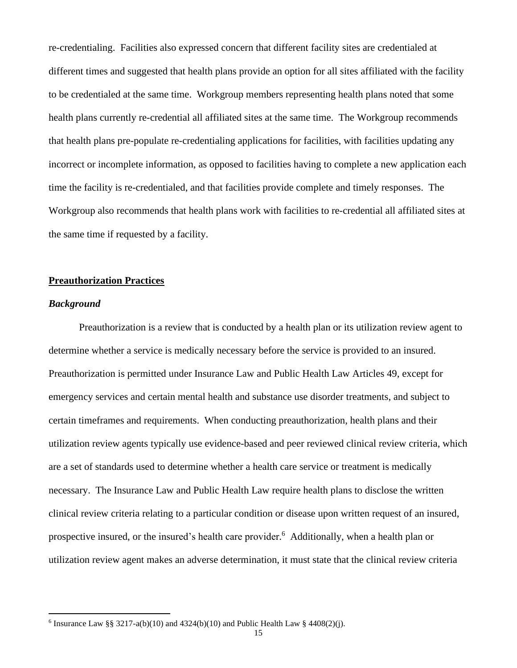re-credentialing. Facilities also expressed concern that different facility sites are credentialed at different times and suggested that health plans provide an option for all sites affiliated with the facility to be credentialed at the same time. Workgroup members representing health plans noted that some health plans currently re-credential all affiliated sites at the same time. The Workgroup recommends that health plans pre-populate re-credentialing applications for facilities, with facilities updating any incorrect or incomplete information, as opposed to facilities having to complete a new application each time the facility is re-credentialed, and that facilities provide complete and timely responses. The Workgroup also recommends that health plans work with facilities to re-credential all affiliated sites at the same time if requested by a facility.

# <span id="page-14-0"></span>**Preauthorization Practices**

### *Background*

Preauthorization is a review that is conducted by a health plan or its utilization review agent to determine whether a service is medically necessary before the service is provided to an insured. Preauthorization is permitted under Insurance Law and Public Health Law Articles 49, except for emergency services and certain mental health and substance use disorder treatments, and subject to certain timeframes and requirements. When conducting preauthorization, health plans and their utilization review agents typically use evidence-based and peer reviewed clinical review criteria, which are a set of standards used to determine whether a health care service or treatment is medically necessary. The Insurance Law and Public Health Law require health plans to disclose the written clinical review criteria relating to a particular condition or disease upon written request of an insured, prospective insured, or the insured's health care provider. 6 Additionally, when a health plan or utilization review agent makes an adverse determination, it must state that the clinical review criteria

<sup>&</sup>lt;sup>6</sup> Insurance Law §§ 3217-a(b)(10) and 4324(b)(10) and Public Health Law § 4408(2)(j).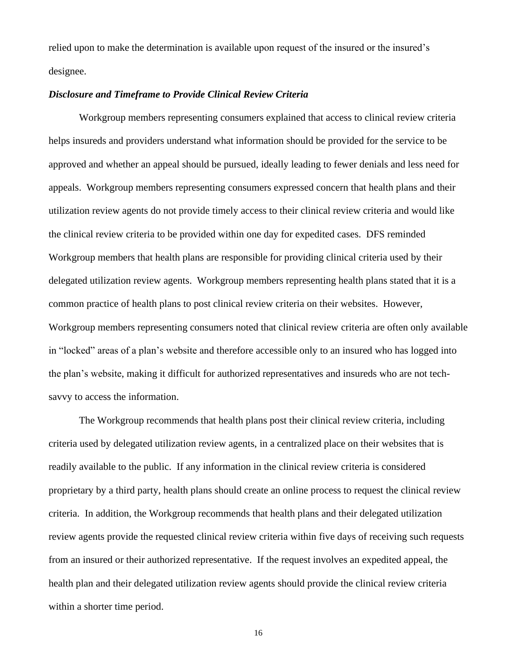relied upon to make the determination is available upon request of the insured or the insured's designee.

#### *Disclosure and Timeframe to Provide Clinical Review Criteria*

Workgroup members representing consumers explained that access to clinical review criteria helps insureds and providers understand what information should be provided for the service to be approved and whether an appeal should be pursued, ideally leading to fewer denials and less need for appeals. Workgroup members representing consumers expressed concern that health plans and their utilization review agents do not provide timely access to their clinical review criteria and would like the clinical review criteria to be provided within one day for expedited cases. DFS reminded Workgroup members that health plans are responsible for providing clinical criteria used by their delegated utilization review agents. Workgroup members representing health plans stated that it is a common practice of health plans to post clinical review criteria on their websites. However, Workgroup members representing consumers noted that clinical review criteria are often only available in "locked" areas of a plan's website and therefore accessible only to an insured who has logged into the plan's website, making it difficult for authorized representatives and insureds who are not techsavvy to access the information.

The Workgroup recommends that health plans post their clinical review criteria, including criteria used by delegated utilization review agents, in a centralized place on their websites that is readily available to the public. If any information in the clinical review criteria is considered proprietary by a third party, health plans should create an online process to request the clinical review criteria. In addition, the Workgroup recommends that health plans and their delegated utilization review agents provide the requested clinical review criteria within five days of receiving such requests from an insured or their authorized representative. If the request involves an expedited appeal, the health plan and their delegated utilization review agents should provide the clinical review criteria within a shorter time period.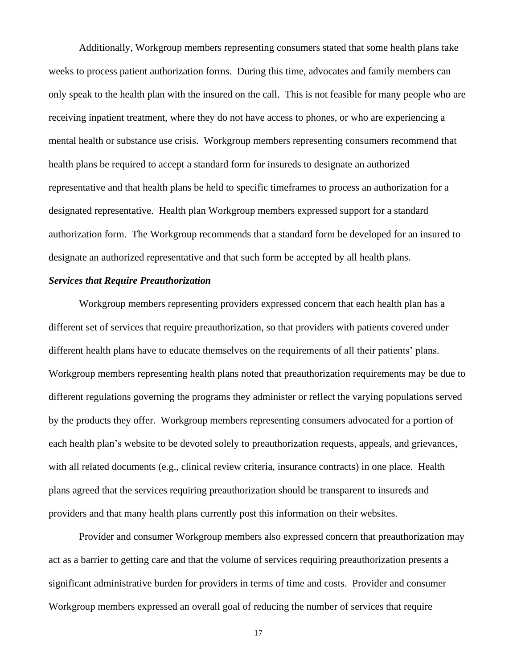Additionally, Workgroup members representing consumers stated that some health plans take weeks to process patient authorization forms. During this time, advocates and family members can only speak to the health plan with the insured on the call. This is not feasible for many people who are receiving inpatient treatment, where they do not have access to phones, or who are experiencing a mental health or substance use crisis. Workgroup members representing consumers recommend that health plans be required to accept a standard form for insureds to designate an authorized representative and that health plans be held to specific timeframes to process an authorization for a designated representative. Health plan Workgroup members expressed support for a standard authorization form. The Workgroup recommends that a standard form be developed for an insured to designate an authorized representative and that such form be accepted by all health plans.

#### *Services that Require Preauthorization*

Workgroup members representing providers expressed concern that each health plan has a different set of services that require preauthorization, so that providers with patients covered under different health plans have to educate themselves on the requirements of all their patients' plans. Workgroup members representing health plans noted that preauthorization requirements may be due to different regulations governing the programs they administer or reflect the varying populations served by the products they offer. Workgroup members representing consumers advocated for a portion of each health plan's website to be devoted solely to preauthorization requests, appeals, and grievances, with all related documents (e.g., clinical review criteria, insurance contracts) in one place. Health plans agreed that the services requiring preauthorization should be transparent to insureds and providers and that many health plans currently post this information on their websites.

Provider and consumer Workgroup members also expressed concern that preauthorization may act as a barrier to getting care and that the volume of services requiring preauthorization presents a significant administrative burden for providers in terms of time and costs. Provider and consumer Workgroup members expressed an overall goal of reducing the number of services that require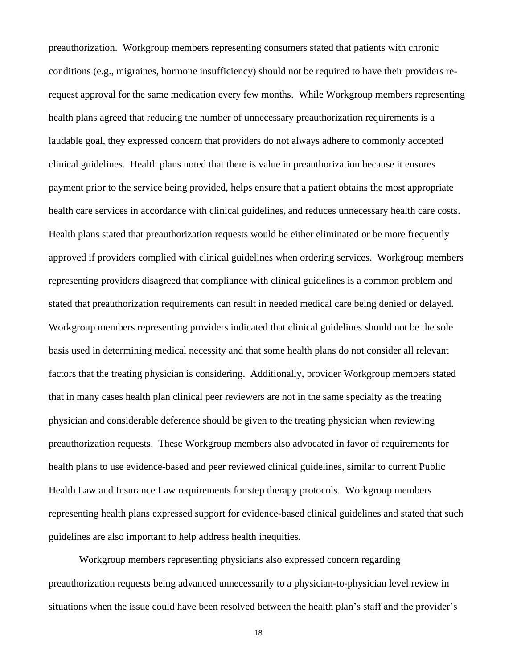preauthorization. Workgroup members representing consumers stated that patients with chronic conditions (e.g., migraines, hormone insufficiency) should not be required to have their providers rerequest approval for the same medication every few months. While Workgroup members representing health plans agreed that reducing the number of unnecessary preauthorization requirements is a laudable goal, they expressed concern that providers do not always adhere to commonly accepted clinical guidelines. Health plans noted that there is value in preauthorization because it ensures payment prior to the service being provided, helps ensure that a patient obtains the most appropriate health care services in accordance with clinical guidelines, and reduces unnecessary health care costs. Health plans stated that preauthorization requests would be either eliminated or be more frequently approved if providers complied with clinical guidelines when ordering services. Workgroup members representing providers disagreed that compliance with clinical guidelines is a common problem and stated that preauthorization requirements can result in needed medical care being denied or delayed. Workgroup members representing providers indicated that clinical guidelines should not be the sole basis used in determining medical necessity and that some health plans do not consider all relevant factors that the treating physician is considering. Additionally, provider Workgroup members stated that in many cases health plan clinical peer reviewers are not in the same specialty as the treating physician and considerable deference should be given to the treating physician when reviewing preauthorization requests. These Workgroup members also advocated in favor of requirements for health plans to use evidence-based and peer reviewed clinical guidelines, similar to current Public Health Law and Insurance Law requirements for step therapy protocols. Workgroup members representing health plans expressed support for evidence-based clinical guidelines and stated that such guidelines are also important to help address health inequities.

Workgroup members representing physicians also expressed concern regarding preauthorization requests being advanced unnecessarily to a physician-to-physician level review in situations when the issue could have been resolved between the health plan's staff and the provider's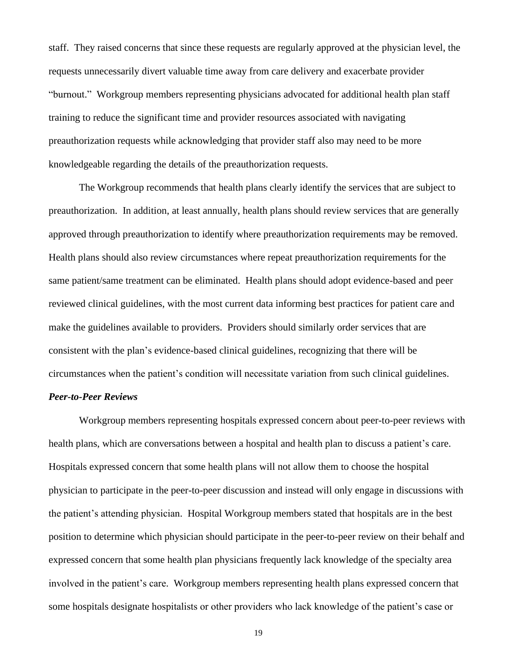staff. They raised concerns that since these requests are regularly approved at the physician level, the requests unnecessarily divert valuable time away from care delivery and exacerbate provider "burnout." Workgroup members representing physicians advocated for additional health plan staff training to reduce the significant time and provider resources associated with navigating preauthorization requests while acknowledging that provider staff also may need to be more knowledgeable regarding the details of the preauthorization requests.

The Workgroup recommends that health plans clearly identify the services that are subject to preauthorization. In addition, at least annually, health plans should review services that are generally approved through preauthorization to identify where preauthorization requirements may be removed. Health plans should also review circumstances where repeat preauthorization requirements for the same patient/same treatment can be eliminated. Health plans should adopt evidence-based and peer reviewed clinical guidelines, with the most current data informing best practices for patient care and make the guidelines available to providers. Providers should similarly order services that are consistent with the plan's evidence-based clinical guidelines, recognizing that there will be circumstances when the patient's condition will necessitate variation from such clinical guidelines.

#### *Peer-to-Peer Reviews*

Workgroup members representing hospitals expressed concern about peer-to-peer reviews with health plans, which are conversations between a hospital and health plan to discuss a patient's care. Hospitals expressed concern that some health plans will not allow them to choose the hospital physician to participate in the peer-to-peer discussion and instead will only engage in discussions with the patient's attending physician. Hospital Workgroup members stated that hospitals are in the best position to determine which physician should participate in the peer-to-peer review on their behalf and expressed concern that some health plan physicians frequently lack knowledge of the specialty area involved in the patient's care. Workgroup members representing health plans expressed concern that some hospitals designate hospitalists or other providers who lack knowledge of the patient's case or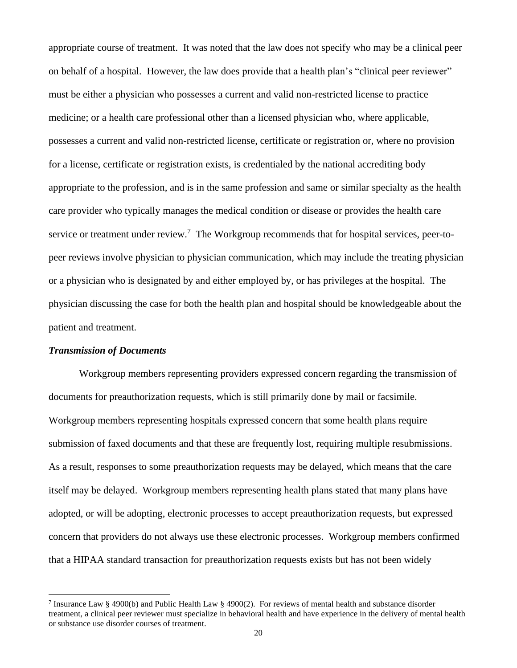appropriate course of treatment. It was noted that the law does not specify who may be a clinical peer on behalf of a hospital. However, the law does provide that a health plan's "clinical peer reviewer" must be either a physician who possesses a current and valid non-restricted license to practice medicine; or a health care professional other than a licensed physician who, where applicable, possesses a current and valid non-restricted license, certificate or registration or, where no provision for a license, certificate or registration exists, is credentialed by the national accrediting body appropriate to the profession, and is in the same profession and same or similar specialty as the health care provider who typically manages the medical condition or disease or provides the health care service or treatment under review.<sup>7</sup> The Workgroup recommends that for hospital services, peer-topeer reviews involve physician to physician communication, which may include the treating physician or a physician who is designated by and either employed by, or has privileges at the hospital. The physician discussing the case for both the health plan and hospital should be knowledgeable about the patient and treatment.

#### *Transmission of Documents*

Workgroup members representing providers expressed concern regarding the transmission of documents for preauthorization requests, which is still primarily done by mail or facsimile. Workgroup members representing hospitals expressed concern that some health plans require submission of faxed documents and that these are frequently lost, requiring multiple resubmissions. As a result, responses to some preauthorization requests may be delayed, which means that the care itself may be delayed. Workgroup members representing health plans stated that many plans have adopted, or will be adopting, electronic processes to accept preauthorization requests, but expressed concern that providers do not always use these electronic processes. Workgroup members confirmed that a HIPAA standard transaction for preauthorization requests exists but has not been widely

<sup>&</sup>lt;sup>7</sup> Insurance Law § 4900(b) and Public Health Law § 4900(2). For reviews of mental health and substance disorder treatment, a clinical peer reviewer must specialize in behavioral health and have experience in the delivery of mental health or substance use disorder courses of treatment.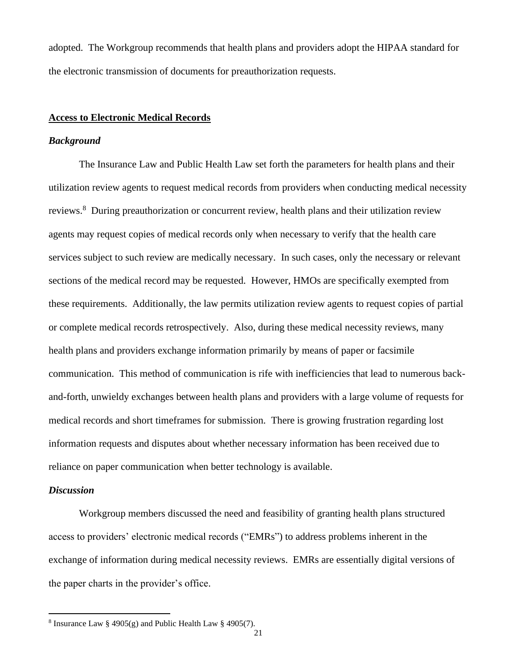adopted. The Workgroup recommends that health plans and providers adopt the HIPAA standard for the electronic transmission of documents for preauthorization requests.

# <span id="page-20-0"></span>**Access to Electronic Medical Records**

#### *Background*

The Insurance Law and Public Health Law set forth the parameters for health plans and their utilization review agents to request medical records from providers when conducting medical necessity reviews.<sup>8</sup> During preauthorization or concurrent review, health plans and their utilization review agents may request copies of medical records only when necessary to verify that the health care services subject to such review are medically necessary. In such cases, only the necessary or relevant sections of the medical record may be requested. However, HMOs are specifically exempted from these requirements. Additionally, the law permits utilization review agents to request copies of partial or complete medical records retrospectively. Also, during these medical necessity reviews, many health plans and providers exchange information primarily by means of paper or facsimile communication. This method of communication is rife with inefficiencies that lead to numerous backand-forth, unwieldy exchanges between health plans and providers with a large volume of requests for medical records and short timeframes for submission. There is growing frustration regarding lost information requests and disputes about whether necessary information has been received due to reliance on paper communication when better technology is available.

#### *Discussion*

Workgroup members discussed the need and feasibility of granting health plans structured access to providers' electronic medical records ("EMRs") to address problems inherent in the exchange of information during medical necessity reviews. EMRs are essentially digital versions of the paper charts in the provider's office.

<sup>&</sup>lt;sup>8</sup> Insurance Law § 4905(g) and Public Health Law § 4905(7).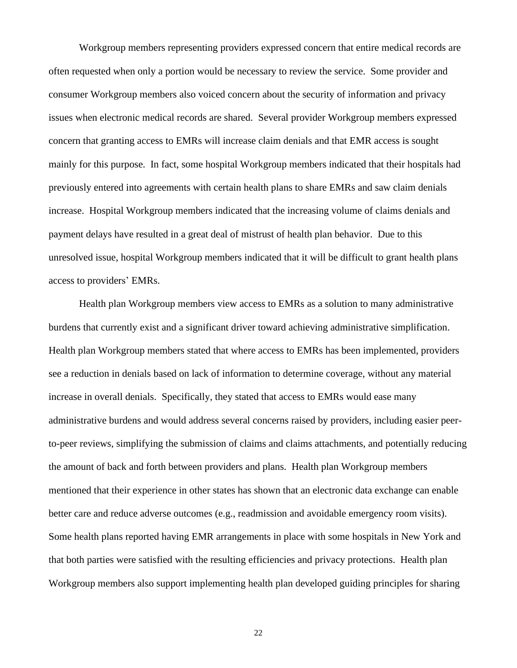Workgroup members representing providers expressed concern that entire medical records are often requested when only a portion would be necessary to review the service. Some provider and consumer Workgroup members also voiced concern about the security of information and privacy issues when electronic medical records are shared. Several provider Workgroup members expressed concern that granting access to EMRs will increase claim denials and that EMR access is sought mainly for this purpose. In fact, some hospital Workgroup members indicated that their hospitals had previously entered into agreements with certain health plans to share EMRs and saw claim denials increase. Hospital Workgroup members indicated that the increasing volume of claims denials and payment delays have resulted in a great deal of mistrust of health plan behavior. Due to this unresolved issue, hospital Workgroup members indicated that it will be difficult to grant health plans access to providers' EMRs.

Health plan Workgroup members view access to EMRs as a solution to many administrative burdens that currently exist and a significant driver toward achieving administrative simplification. Health plan Workgroup members stated that where access to EMRs has been implemented, providers see a reduction in denials based on lack of information to determine coverage, without any material increase in overall denials. Specifically, they stated that access to EMRs would ease many administrative burdens and would address several concerns raised by providers, including easier peerto-peer reviews, simplifying the submission of claims and claims attachments, and potentially reducing the amount of back and forth between providers and plans. Health plan Workgroup members mentioned that their experience in other states has shown that an electronic data exchange can enable better care and reduce adverse outcomes (e.g., readmission and avoidable emergency room visits). Some health plans reported having EMR arrangements in place with some hospitals in New York and that both parties were satisfied with the resulting efficiencies and privacy protections. Health plan Workgroup members also support implementing health plan developed guiding principles for sharing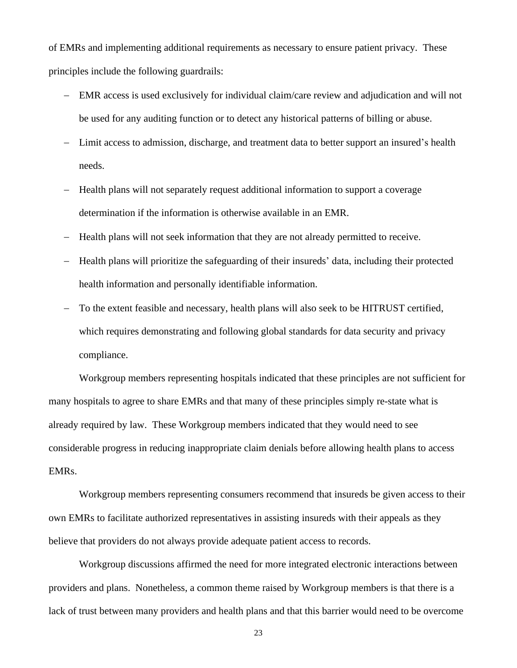of EMRs and implementing additional requirements as necessary to ensure patient privacy. These principles include the following guardrails:

- − EMR access is used exclusively for individual claim/care review and adjudication and will not be used for any auditing function or to detect any historical patterns of billing or abuse.
- − Limit access to admission, discharge, and treatment data to better support an insured's health needs.
- − Health plans will not separately request additional information to support a coverage determination if the information is otherwise available in an EMR.
- − Health plans will not seek information that they are not already permitted to receive.
- − Health plans will prioritize the safeguarding of their insureds' data, including their protected health information and personally identifiable information.
- − To the extent feasible and necessary, health plans will also seek to be HITRUST certified, which requires demonstrating and following global standards for data security and privacy compliance.

Workgroup members representing hospitals indicated that these principles are not sufficient for many hospitals to agree to share EMRs and that many of these principles simply re-state what is already required by law. These Workgroup members indicated that they would need to see considerable progress in reducing inappropriate claim denials before allowing health plans to access EMRs.

Workgroup members representing consumers recommend that insureds be given access to their own EMRs to facilitate authorized representatives in assisting insureds with their appeals as they believe that providers do not always provide adequate patient access to records.

Workgroup discussions affirmed the need for more integrated electronic interactions between providers and plans. Nonetheless, a common theme raised by Workgroup members is that there is a lack of trust between many providers and health plans and that this barrier would need to be overcome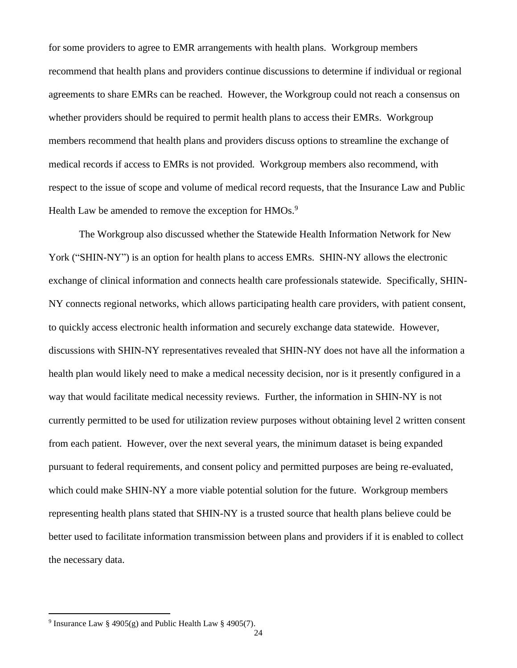for some providers to agree to EMR arrangements with health plans. Workgroup members recommend that health plans and providers continue discussions to determine if individual or regional agreements to share EMRs can be reached. However, the Workgroup could not reach a consensus on whether providers should be required to permit health plans to access their EMRs. Workgroup members recommend that health plans and providers discuss options to streamline the exchange of medical records if access to EMRs is not provided. Workgroup members also recommend, with respect to the issue of scope and volume of medical record requests, that the Insurance Law and Public Health Law be amended to remove the exception for HMOs.<sup>9</sup>

The Workgroup also discussed whether the Statewide Health Information Network for New York ("SHIN-NY") is an option for health plans to access EMRs. SHIN-NY allows the electronic exchange of clinical information and connects health care professionals statewide. Specifically, SHIN-NY connects regional networks, which allows participating health care providers, with patient consent, to quickly access electronic health information and securely exchange data statewide. However, discussions with SHIN-NY representatives revealed that SHIN-NY does not have all the information a health plan would likely need to make a medical necessity decision, nor is it presently configured in a way that would facilitate medical necessity reviews. Further, the information in SHIN-NY is not currently permitted to be used for utilization review purposes without obtaining level 2 written consent from each patient. However, over the next several years, the minimum dataset is being expanded pursuant to federal requirements, and consent policy and permitted purposes are being re-evaluated, which could make SHIN-NY a more viable potential solution for the future. Workgroup members representing health plans stated that SHIN-NY is a trusted source that health plans believe could be better used to facilitate information transmission between plans and providers if it is enabled to collect the necessary data.

<sup>&</sup>lt;sup>9</sup> Insurance Law § 4905(g) and Public Health Law § 4905(7).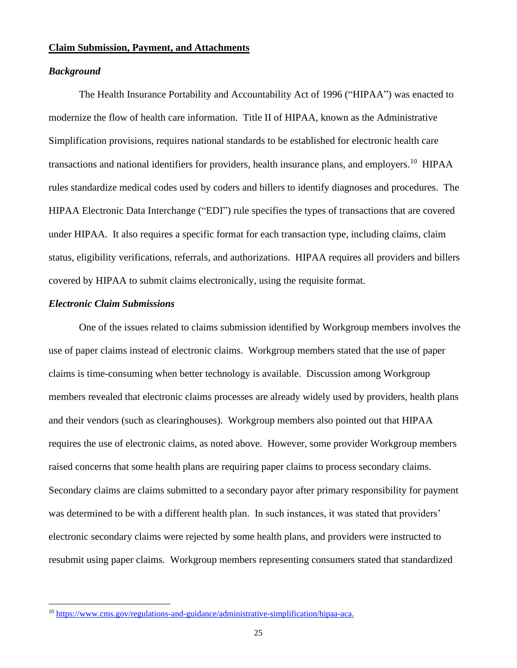#### <span id="page-24-0"></span>**Claim Submission, Payment, and Attachments**

#### *Background*

The Health Insurance Portability and Accountability Act of 1996 ("HIPAA") was enacted to modernize the flow of health care information. Title II of HIPAA, known as the Administrative Simplification provisions, requires national standards to be established for electronic health care transactions and national identifiers for providers, health insurance plans, and employers.<sup>10</sup> HIPAA rules standardize medical codes used by coders and billers to identify diagnoses and procedures. The HIPAA Electronic Data Interchange ("EDI") rule specifies the types of transactions that are covered under HIPAA. It also requires a specific format for each transaction type, including claims, claim status, eligibility verifications, referrals, and authorizations. HIPAA requires all providers and billers covered by HIPAA to submit claims electronically, using the requisite format.

# *Electronic Claim Submissions*

One of the issues related to claims submission identified by Workgroup members involves the use of paper claims instead of electronic claims. Workgroup members stated that the use of paper claims is time-consuming when better technology is available. Discussion among Workgroup members revealed that electronic claims processes are already widely used by providers, health plans and their vendors (such as clearinghouses). Workgroup members also pointed out that HIPAA requires the use of electronic claims, as noted above. However, some provider Workgroup members raised concerns that some health plans are requiring paper claims to process secondary claims. Secondary claims are claims submitted to a secondary payor after primary responsibility for payment was determined to be with a different health plan. In such instances, it was stated that providers' electronic secondary claims were rejected by some health plans, and providers were instructed to resubmit using paper claims. Workgroup members representing consumers stated that standardized

<sup>10</sup> [https://www.cms.gov/regulations-and-guidance/administrative-simplification/hipaa-aca.](https://www.cms.gov/regulations-and-guidance/administrative-simplification/hipaa-aca)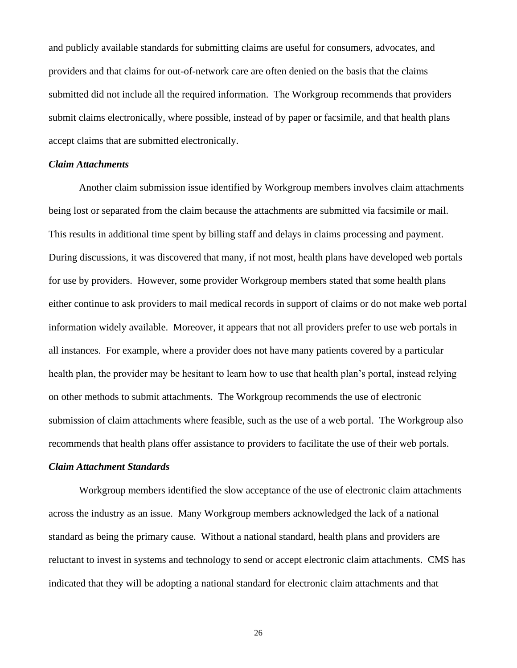and publicly available standards for submitting claims are useful for consumers, advocates, and providers and that claims for out-of-network care are often denied on the basis that the claims submitted did not include all the required information. The Workgroup recommends that providers submit claims electronically, where possible, instead of by paper or facsimile, and that health plans accept claims that are submitted electronically.

#### *Claim Attachments*

Another claim submission issue identified by Workgroup members involves claim attachments being lost or separated from the claim because the attachments are submitted via facsimile or mail. This results in additional time spent by billing staff and delays in claims processing and payment. During discussions, it was discovered that many, if not most, health plans have developed web portals for use by providers. However, some provider Workgroup members stated that some health plans either continue to ask providers to mail medical records in support of claims or do not make web portal information widely available. Moreover, it appears that not all providers prefer to use web portals in all instances. For example, where a provider does not have many patients covered by a particular health plan, the provider may be hesitant to learn how to use that health plan's portal, instead relying on other methods to submit attachments. The Workgroup recommends the use of electronic submission of claim attachments where feasible, such as the use of a web portal. The Workgroup also recommends that health plans offer assistance to providers to facilitate the use of their web portals.

#### *Claim Attachment Standards*

Workgroup members identified the slow acceptance of the use of electronic claim attachments across the industry as an issue. Many Workgroup members acknowledged the lack of a national standard as being the primary cause. Without a national standard, health plans and providers are reluctant to invest in systems and technology to send or accept electronic claim attachments. CMS has indicated that they will be adopting a national standard for electronic claim attachments and that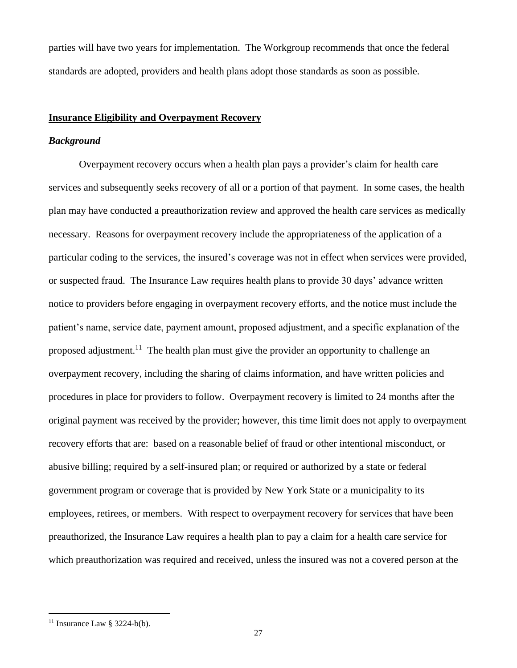parties will have two years for implementation. The Workgroup recommends that once the federal standards are adopted, providers and health plans adopt those standards as soon as possible.

# <span id="page-26-0"></span>**Insurance Eligibility and Overpayment Recovery**

#### *Background*

Overpayment recovery occurs when a health plan pays a provider's claim for health care services and subsequently seeks recovery of all or a portion of that payment. In some cases, the health plan may have conducted a preauthorization review and approved the health care services as medically necessary. Reasons for overpayment recovery include the appropriateness of the application of a particular coding to the services, the insured's coverage was not in effect when services were provided, or suspected fraud. The Insurance Law requires health plans to provide 30 days' advance written notice to providers before engaging in overpayment recovery efforts, and the notice must include the patient's name, service date, payment amount, proposed adjustment, and a specific explanation of the proposed adjustment.<sup>11</sup> The health plan must give the provider an opportunity to challenge an overpayment recovery, including the sharing of claims information, and have written policies and procedures in place for providers to follow. Overpayment recovery is limited to 24 months after the original payment was received by the provider; however, this time limit does not apply to overpayment recovery efforts that are: based on a reasonable belief of fraud or other intentional misconduct, or abusive billing; required by a self-insured plan; or required or authorized by a state or federal government program or coverage that is provided by New York State or a municipality to its employees, retirees, or members. With respect to overpayment recovery for services that have been preauthorized, the Insurance Law requires a health plan to pay a claim for a health care service for which preauthorization was required and received, unless the insured was not a covered person at the

<sup>&</sup>lt;sup>11</sup> Insurance Law § 3224-b(b).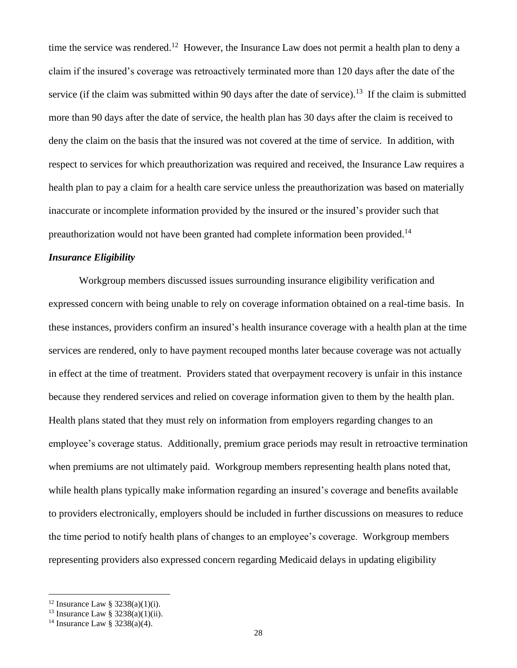time the service was rendered.<sup>12</sup> However, the Insurance Law does not permit a health plan to deny a claim if the insured's coverage was retroactively terminated more than 120 days after the date of the service (if the claim was submitted within 90 days after the date of service).<sup>13</sup> If the claim is submitted more than 90 days after the date of service, the health plan has 30 days after the claim is received to deny the claim on the basis that the insured was not covered at the time of service. In addition, with respect to services for which preauthorization was required and received, the Insurance Law requires a health plan to pay a claim for a health care service unless the preauthorization was based on materially inaccurate or incomplete information provided by the insured or the insured's provider such that preauthorization would not have been granted had complete information been provided.<sup>14</sup>

### *Insurance Eligibility*

Workgroup members discussed issues surrounding insurance eligibility verification and expressed concern with being unable to rely on coverage information obtained on a real-time basis. In these instances, providers confirm an insured's health insurance coverage with a health plan at the time services are rendered, only to have payment recouped months later because coverage was not actually in effect at the time of treatment. Providers stated that overpayment recovery is unfair in this instance because they rendered services and relied on coverage information given to them by the health plan. Health plans stated that they must rely on information from employers regarding changes to an employee's coverage status. Additionally, premium grace periods may result in retroactive termination when premiums are not ultimately paid. Workgroup members representing health plans noted that, while health plans typically make information regarding an insured's coverage and benefits available to providers electronically, employers should be included in further discussions on measures to reduce the time period to notify health plans of changes to an employee's coverage. Workgroup members representing providers also expressed concern regarding Medicaid delays in updating eligibility

<sup>&</sup>lt;sup>12</sup> Insurance Law §  $3238(a)(1)(i)$ .

<sup>&</sup>lt;sup>13</sup> Insurance Law § 3238(a)(1)(ii).

<sup>&</sup>lt;sup>14</sup> Insurance Law §  $3238(a)(4)$ .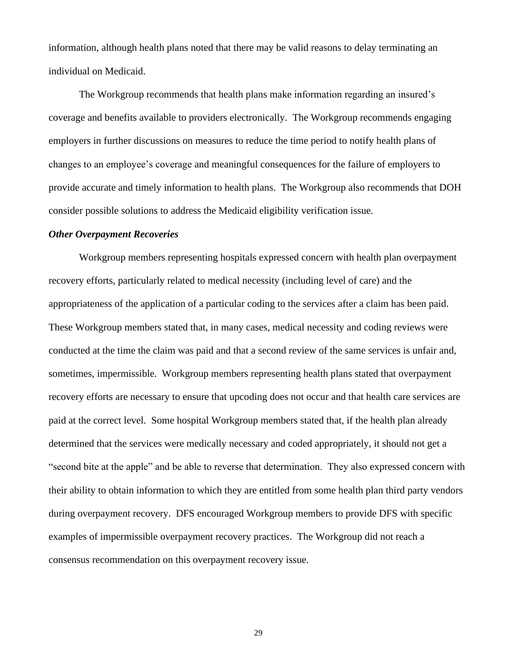information, although health plans noted that there may be valid reasons to delay terminating an individual on Medicaid.

The Workgroup recommends that health plans make information regarding an insured's coverage and benefits available to providers electronically. The Workgroup recommends engaging employers in further discussions on measures to reduce the time period to notify health plans of changes to an employee's coverage and meaningful consequences for the failure of employers to provide accurate and timely information to health plans. The Workgroup also recommends that DOH consider possible solutions to address the Medicaid eligibility verification issue.

#### *Other Overpayment Recoveries*

Workgroup members representing hospitals expressed concern with health plan overpayment recovery efforts, particularly related to medical necessity (including level of care) and the appropriateness of the application of a particular coding to the services after a claim has been paid. These Workgroup members stated that, in many cases, medical necessity and coding reviews were conducted at the time the claim was paid and that a second review of the same services is unfair and, sometimes, impermissible. Workgroup members representing health plans stated that overpayment recovery efforts are necessary to ensure that upcoding does not occur and that health care services are paid at the correct level. Some hospital Workgroup members stated that, if the health plan already determined that the services were medically necessary and coded appropriately, it should not get a "second bite at the apple" and be able to reverse that determination. They also expressed concern with their ability to obtain information to which they are entitled from some health plan third party vendors during overpayment recovery. DFS encouraged Workgroup members to provide DFS with specific examples of impermissible overpayment recovery practices. The Workgroup did not reach a consensus recommendation on this overpayment recovery issue.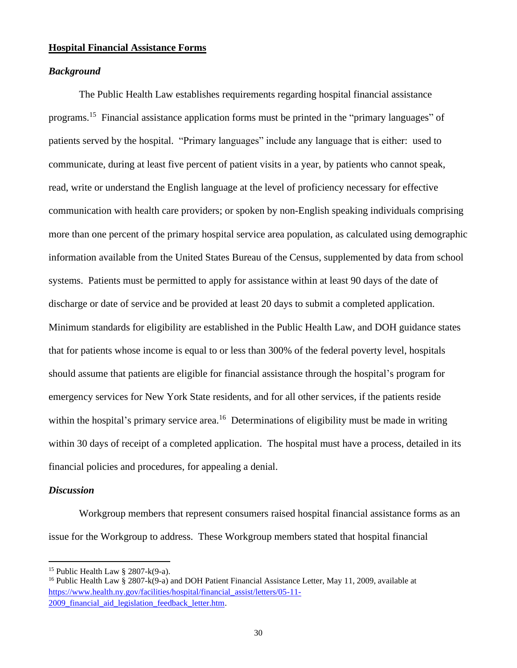### **Hospital Financial Assistance Forms**

#### *Background*

The Public Health Law establishes requirements regarding hospital financial assistance programs.<sup>15</sup> Financial assistance application forms must be printed in the "primary languages" of patients served by the hospital. "Primary languages" include any language that is either: used to communicate, during at least five percent of patient visits in a year, by patients who cannot speak, read, write or understand the English language at the level of proficiency necessary for effective communication with health care providers; or spoken by non-English speaking individuals comprising more than one percent of the primary hospital service area population, as calculated using demographic information available from the United States Bureau of the Census, supplemented by data from school systems. Patients must be permitted to apply for assistance within at least 90 days of the date of discharge or date of service and be provided at least 20 days to submit a completed application. Minimum standards for eligibility are established in the Public Health Law, and DOH guidance states that for patients whose income is equal to or less than 300% of the federal poverty level, hospitals should assume that patients are eligible for financial assistance through the hospital's program for emergency services for New York State residents, and for all other services, if the patients reside within the hospital's primary service area.<sup>16</sup> Determinations of eligibility must be made in writing within 30 days of receipt of a completed application. The hospital must have a process, detailed in its financial policies and procedures, for appealing a denial.

#### *Discussion*

Workgroup members that represent consumers raised hospital financial assistance forms as an issue for the Workgroup to address. These Workgroup members stated that hospital financial

<sup>&</sup>lt;sup>15</sup> Public Health Law  $\S$  2807-k(9-a).

<sup>&</sup>lt;sup>16</sup> Public Health Law § 2807-k(9-a) and DOH Patient Financial Assistance Letter, May 11, 2009, available at [https://www.health.ny.gov/facilities/hospital/financial\\_assist/letters/05-11-](https://www.health.ny.gov/facilities/hospital/financial_assist/letters/05-11-2009_financial_aid_legislation_feedback_letter.htm) 2009 financial aid legislation feedback letter.htm.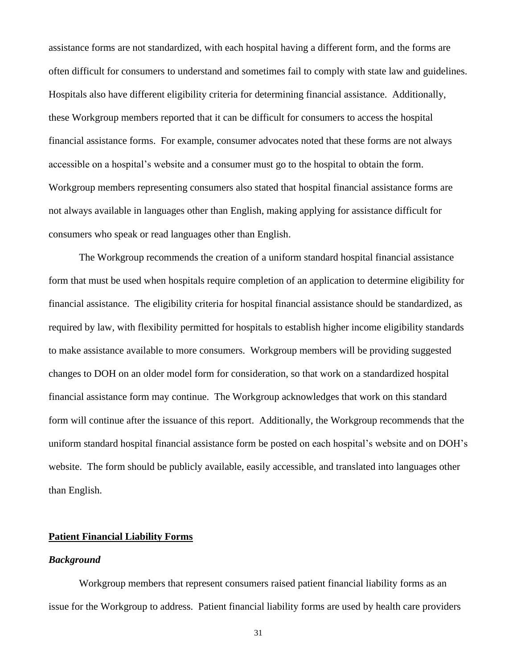assistance forms are not standardized, with each hospital having a different form, and the forms are often difficult for consumers to understand and sometimes fail to comply with state law and guidelines. Hospitals also have different eligibility criteria for determining financial assistance. Additionally, these Workgroup members reported that it can be difficult for consumers to access the hospital financial assistance forms. For example, consumer advocates noted that these forms are not always accessible on a hospital's website and a consumer must go to the hospital to obtain the form. Workgroup members representing consumers also stated that hospital financial assistance forms are not always available in languages other than English, making applying for assistance difficult for consumers who speak or read languages other than English.

The Workgroup recommends the creation of a uniform standard hospital financial assistance form that must be used when hospitals require completion of an application to determine eligibility for financial assistance. The eligibility criteria for hospital financial assistance should be standardized, as required by law, with flexibility permitted for hospitals to establish higher income eligibility standards to make assistance available to more consumers. Workgroup members will be providing suggested changes to DOH on an older model form for consideration, so that work on a standardized hospital financial assistance form may continue. The Workgroup acknowledges that work on this standard form will continue after the issuance of this report. Additionally, the Workgroup recommends that the uniform standard hospital financial assistance form be posted on each hospital's website and on DOH's website. The form should be publicly available, easily accessible, and translated into languages other than English.

#### **Patient Financial Liability Forms**

#### *Background*

Workgroup members that represent consumers raised patient financial liability forms as an issue for the Workgroup to address. Patient financial liability forms are used by health care providers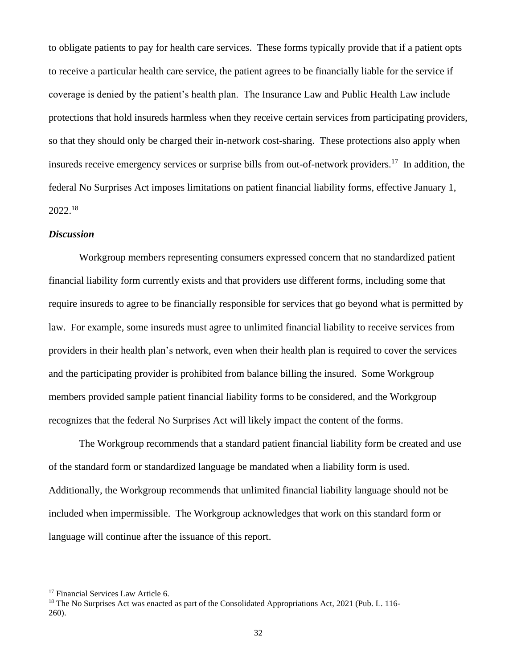to obligate patients to pay for health care services. These forms typically provide that if a patient opts to receive a particular health care service, the patient agrees to be financially liable for the service if coverage is denied by the patient's health plan. The Insurance Law and Public Health Law include protections that hold insureds harmless when they receive certain services from participating providers, so that they should only be charged their in-network cost-sharing. These protections also apply when insureds receive emergency services or surprise bills from out-of-network providers.<sup>17</sup> In addition, the federal No Surprises Act imposes limitations on patient financial liability forms, effective January 1, 2022.<sup>18</sup>

#### *Discussion*

Workgroup members representing consumers expressed concern that no standardized patient financial liability form currently exists and that providers use different forms, including some that require insureds to agree to be financially responsible for services that go beyond what is permitted by law. For example, some insureds must agree to unlimited financial liability to receive services from providers in their health plan's network, even when their health plan is required to cover the services and the participating provider is prohibited from balance billing the insured. Some Workgroup members provided sample patient financial liability forms to be considered, and the Workgroup recognizes that the federal No Surprises Act will likely impact the content of the forms.

The Workgroup recommends that a standard patient financial liability form be created and use of the standard form or standardized language be mandated when a liability form is used. Additionally, the Workgroup recommends that unlimited financial liability language should not be included when impermissible. The Workgroup acknowledges that work on this standard form or language will continue after the issuance of this report.

<sup>&</sup>lt;sup>17</sup> Financial Services Law Article 6.

<sup>&</sup>lt;sup>18</sup> The No Surprises Act was enacted as part of the Consolidated Appropriations Act, 2021 (Pub. L. 116-260).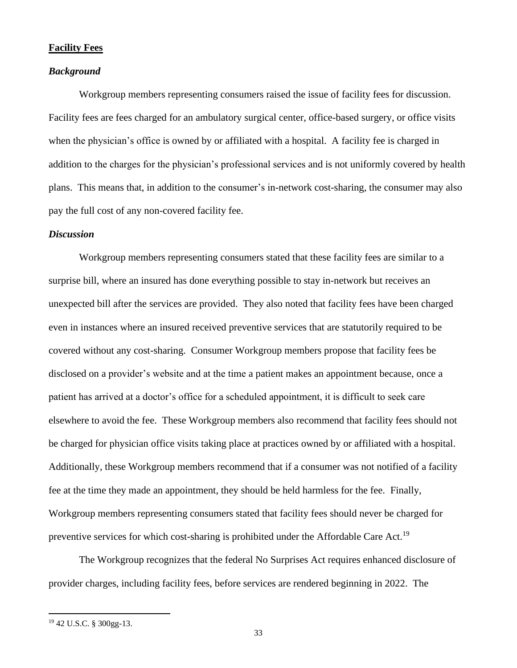#### <span id="page-32-0"></span>**Facility Fees**

#### *Background*

Workgroup members representing consumers raised the issue of facility fees for discussion. Facility fees are fees charged for an ambulatory surgical center, office-based surgery, or office visits when the physician's office is owned by or affiliated with a hospital. A facility fee is charged in addition to the charges for the physician's professional services and is not uniformly covered by health plans. This means that, in addition to the consumer's in-network cost-sharing, the consumer may also pay the full cost of any non-covered facility fee.

#### *Discussion*

Workgroup members representing consumers stated that these facility fees are similar to a surprise bill, where an insured has done everything possible to stay in-network but receives an unexpected bill after the services are provided. They also noted that facility fees have been charged even in instances where an insured received preventive services that are statutorily required to be covered without any cost-sharing. Consumer Workgroup members propose that facility fees be disclosed on a provider's website and at the time a patient makes an appointment because, once a patient has arrived at a doctor's office for a scheduled appointment, it is difficult to seek care elsewhere to avoid the fee. These Workgroup members also recommend that facility fees should not be charged for physician office visits taking place at practices owned by or affiliated with a hospital. Additionally, these Workgroup members recommend that if a consumer was not notified of a facility fee at the time they made an appointment, they should be held harmless for the fee. Finally, Workgroup members representing consumers stated that facility fees should never be charged for preventive services for which cost-sharing is prohibited under the Affordable Care Act.<sup>19</sup>

The Workgroup recognizes that the federal No Surprises Act requires enhanced disclosure of provider charges, including facility fees, before services are rendered beginning in 2022. The

<sup>19</sup> 42 U.S.C. § 300gg-13.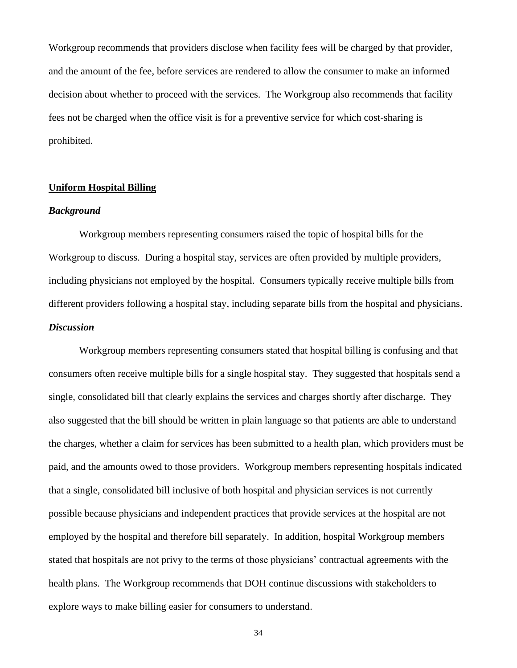Workgroup recommends that providers disclose when facility fees will be charged by that provider, and the amount of the fee, before services are rendered to allow the consumer to make an informed decision about whether to proceed with the services. The Workgroup also recommends that facility fees not be charged when the office visit is for a preventive service for which cost-sharing is prohibited.

#### <span id="page-33-0"></span>**Uniform Hospital Billing**

### *Background*

Workgroup members representing consumers raised the topic of hospital bills for the Workgroup to discuss. During a hospital stay, services are often provided by multiple providers, including physicians not employed by the hospital. Consumers typically receive multiple bills from different providers following a hospital stay, including separate bills from the hospital and physicians. *Discussion*

Workgroup members representing consumers stated that hospital billing is confusing and that consumers often receive multiple bills for a single hospital stay. They suggested that hospitals send a single, consolidated bill that clearly explains the services and charges shortly after discharge. They also suggested that the bill should be written in plain language so that patients are able to understand the charges, whether a claim for services has been submitted to a health plan, which providers must be paid, and the amounts owed to those providers. Workgroup members representing hospitals indicated that a single, consolidated bill inclusive of both hospital and physician services is not currently possible because physicians and independent practices that provide services at the hospital are not employed by the hospital and therefore bill separately. In addition, hospital Workgroup members stated that hospitals are not privy to the terms of those physicians' contractual agreements with the health plans. The Workgroup recommends that DOH continue discussions with stakeholders to explore ways to make billing easier for consumers to understand.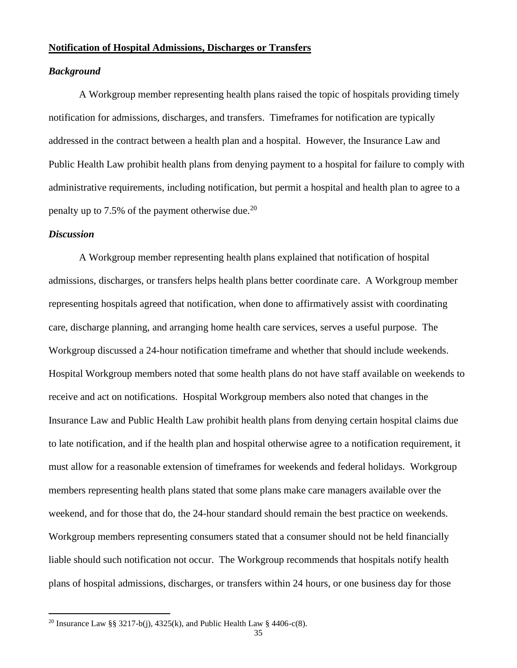#### <span id="page-34-0"></span>**Notification of Hospital Admissions, Discharges or Transfers**

#### *Background*

A Workgroup member representing health plans raised the topic of hospitals providing timely notification for admissions, discharges, and transfers. Timeframes for notification are typically addressed in the contract between a health plan and a hospital. However, the Insurance Law and Public Health Law prohibit health plans from denying payment to a hospital for failure to comply with administrative requirements, including notification, but permit a hospital and health plan to agree to a penalty up to 7.5% of the payment otherwise due.<sup>20</sup>

#### *Discussion*

A Workgroup member representing health plans explained that notification of hospital admissions, discharges, or transfers helps health plans better coordinate care. A Workgroup member representing hospitals agreed that notification, when done to affirmatively assist with coordinating care, discharge planning, and arranging home health care services, serves a useful purpose. The Workgroup discussed a 24-hour notification timeframe and whether that should include weekends. Hospital Workgroup members noted that some health plans do not have staff available on weekends to receive and act on notifications. Hospital Workgroup members also noted that changes in the Insurance Law and Public Health Law prohibit health plans from denying certain hospital claims due to late notification, and if the health plan and hospital otherwise agree to a notification requirement, it must allow for a reasonable extension of timeframes for weekends and federal holidays. Workgroup members representing health plans stated that some plans make care managers available over the weekend, and for those that do, the 24-hour standard should remain the best practice on weekends. Workgroup members representing consumers stated that a consumer should not be held financially liable should such notification not occur. The Workgroup recommends that hospitals notify health plans of hospital admissions, discharges, or transfers within 24 hours, or one business day for those

<sup>&</sup>lt;sup>20</sup> Insurance Law §§ 3217-b(j), 4325(k), and Public Health Law § 4406-c(8).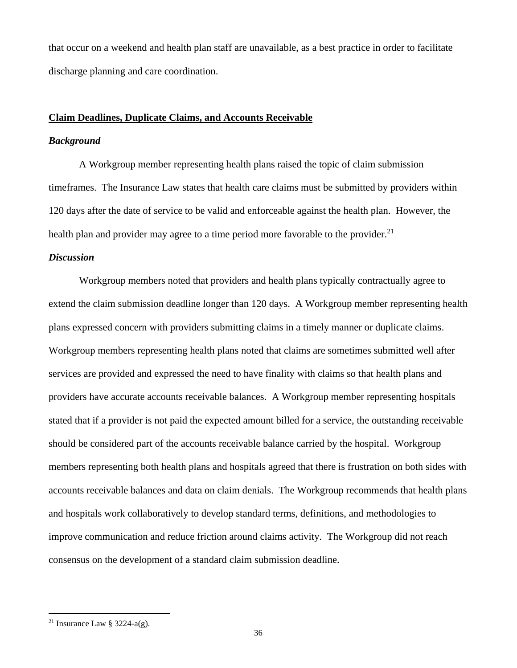that occur on a weekend and health plan staff are unavailable, as a best practice in order to facilitate discharge planning and care coordination.

# <span id="page-35-0"></span>**Claim Deadlines, Duplicate Claims, and Accounts Receivable**

#### *Background*

A Workgroup member representing health plans raised the topic of claim submission timeframes. The Insurance Law states that health care claims must be submitted by providers within 120 days after the date of service to be valid and enforceable against the health plan. However, the health plan and provider may agree to a time period more favorable to the provider.<sup>21</sup>

## *Discussion*

Workgroup members noted that providers and health plans typically contractually agree to extend the claim submission deadline longer than 120 days. A Workgroup member representing health plans expressed concern with providers submitting claims in a timely manner or duplicate claims. Workgroup members representing health plans noted that claims are sometimes submitted well after services are provided and expressed the need to have finality with claims so that health plans and providers have accurate accounts receivable balances. A Workgroup member representing hospitals stated that if a provider is not paid the expected amount billed for a service, the outstanding receivable should be considered part of the accounts receivable balance carried by the hospital. Workgroup members representing both health plans and hospitals agreed that there is frustration on both sides with accounts receivable balances and data on claim denials. The Workgroup recommends that health plans and hospitals work collaboratively to develop standard terms, definitions, and methodologies to improve communication and reduce friction around claims activity. The Workgroup did not reach consensus on the development of a standard claim submission deadline.

<sup>&</sup>lt;sup>21</sup> Insurance Law § 3224-a(g).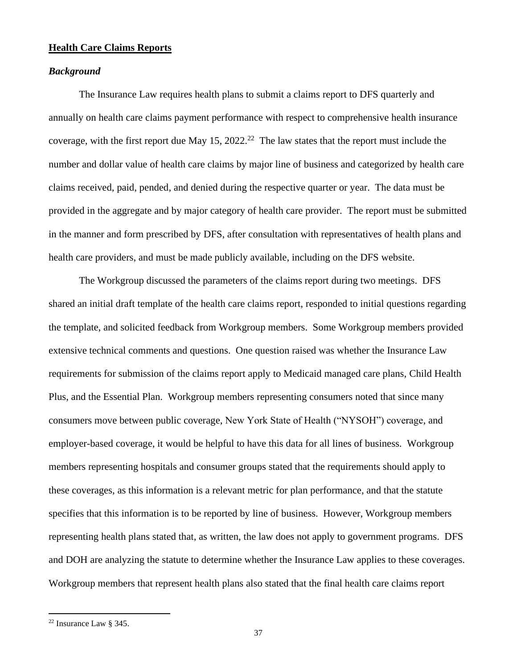# <span id="page-36-0"></span>**Health Care Claims Reports**

#### *Background*

The Insurance Law requires health plans to submit a claims report to DFS quarterly and annually on health care claims payment performance with respect to comprehensive health insurance coverage, with the first report due May  $15$ ,  $2022$ <sup>22</sup> The law states that the report must include the number and dollar value of health care claims by major line of business and categorized by health care claims received, paid, pended, and denied during the respective quarter or year. The data must be provided in the aggregate and by major category of health care provider. The report must be submitted in the manner and form prescribed by DFS, after consultation with representatives of health plans and health care providers, and must be made publicly available, including on the DFS website.

The Workgroup discussed the parameters of the claims report during two meetings. DFS shared an initial draft template of the health care claims report, responded to initial questions regarding the template, and solicited feedback from Workgroup members. Some Workgroup members provided extensive technical comments and questions. One question raised was whether the Insurance Law requirements for submission of the claims report apply to Medicaid managed care plans, Child Health Plus, and the Essential Plan. Workgroup members representing consumers noted that since many consumers move between public coverage, New York State of Health ("NYSOH") coverage, and employer-based coverage, it would be helpful to have this data for all lines of business. Workgroup members representing hospitals and consumer groups stated that the requirements should apply to these coverages, as this information is a relevant metric for plan performance, and that the statute specifies that this information is to be reported by line of business. However, Workgroup members representing health plans stated that, as written, the law does not apply to government programs. DFS and DOH are analyzing the statute to determine whether the Insurance Law applies to these coverages. Workgroup members that represent health plans also stated that the final health care claims report

<sup>&</sup>lt;sup>22</sup> Insurance Law  $\frac{1}{2}$  345.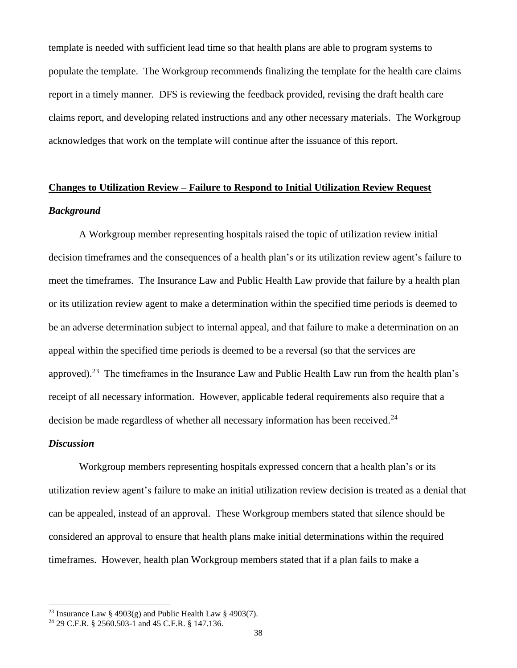template is needed with sufficient lead time so that health plans are able to program systems to populate the template. The Workgroup recommends finalizing the template for the health care claims report in a timely manner. DFS is reviewing the feedback provided, revising the draft health care claims report, and developing related instructions and any other necessary materials. The Workgroup acknowledges that work on the template will continue after the issuance of this report.

# <span id="page-37-0"></span>**Changes to Utilization Review – Failure to Respond to Initial Utilization Review Request** *Background*

A Workgroup member representing hospitals raised the topic of utilization review initial decision timeframes and the consequences of a health plan's or its utilization review agent's failure to meet the timeframes. The Insurance Law and Public Health Law provide that failure by a health plan or its utilization review agent to make a determination within the specified time periods is deemed to be an adverse determination subject to internal appeal, and that failure to make a determination on an appeal within the specified time periods is deemed to be a reversal (so that the services are approved).<sup>23</sup> The timeframes in the Insurance Law and Public Health Law run from the health plan's receipt of all necessary information. However, applicable federal requirements also require that a decision be made regardless of whether all necessary information has been received. $^{24}$ 

#### *Discussion*

Workgroup members representing hospitals expressed concern that a health plan's or its utilization review agent's failure to make an initial utilization review decision is treated as a denial that can be appealed, instead of an approval. These Workgroup members stated that silence should be considered an approval to ensure that health plans make initial determinations within the required timeframes. However, health plan Workgroup members stated that if a plan fails to make a

<sup>&</sup>lt;sup>23</sup> Insurance Law § 4903(g) and Public Health Law § 4903(7).

 $24$  29 C.F.R. § 2560.503-1 and 45 C.F.R. § 147.136.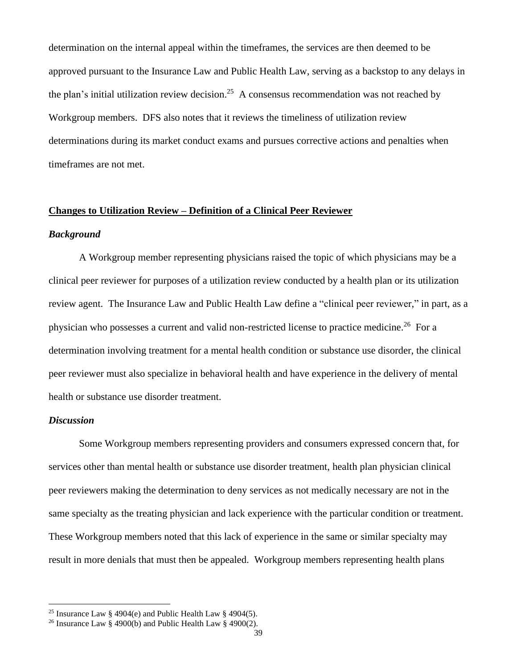determination on the internal appeal within the timeframes, the services are then deemed to be approved pursuant to the Insurance Law and Public Health Law, serving as a backstop to any delays in the plan's initial utilization review decision.<sup>25</sup> A consensus recommendation was not reached by Workgroup members. DFS also notes that it reviews the timeliness of utilization review determinations during its market conduct exams and pursues corrective actions and penalties when timeframes are not met.

# <span id="page-38-0"></span>**Changes to Utilization Review – Definition of a Clinical Peer Reviewer**

#### *Background*

A Workgroup member representing physicians raised the topic of which physicians may be a clinical peer reviewer for purposes of a utilization review conducted by a health plan or its utilization review agent. The Insurance Law and Public Health Law define a "clinical peer reviewer," in part, as a physician who possesses a current and valid non-restricted license to practice medicine.<sup>26</sup> For a determination involving treatment for a mental health condition or substance use disorder, the clinical peer reviewer must also specialize in behavioral health and have experience in the delivery of mental health or substance use disorder treatment.

#### *Discussion*

Some Workgroup members representing providers and consumers expressed concern that, for services other than mental health or substance use disorder treatment, health plan physician clinical peer reviewers making the determination to deny services as not medically necessary are not in the same specialty as the treating physician and lack experience with the particular condition or treatment. These Workgroup members noted that this lack of experience in the same or similar specialty may result in more denials that must then be appealed. Workgroup members representing health plans

<sup>&</sup>lt;sup>25</sup> Insurance Law § 4904(e) and Public Health Law § 4904(5).

<sup>&</sup>lt;sup>26</sup> Insurance Law § 4900(b) and Public Health Law § 4900(2).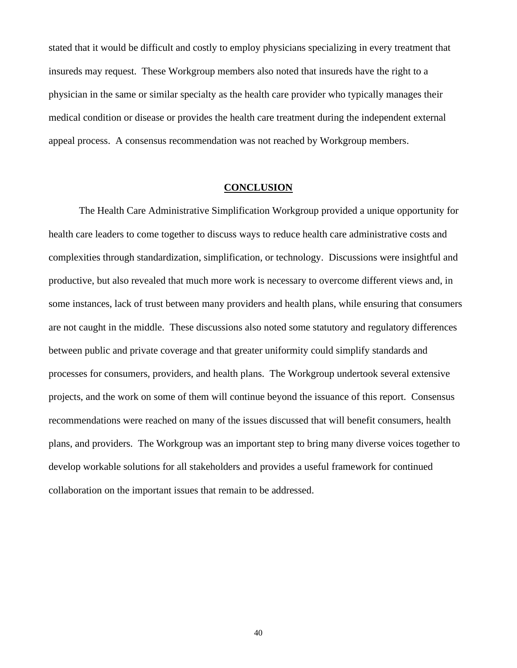stated that it would be difficult and costly to employ physicians specializing in every treatment that insureds may request. These Workgroup members also noted that insureds have the right to a physician in the same or similar specialty as the health care provider who typically manages their medical condition or disease or provides the health care treatment during the independent external appeal process. A consensus recommendation was not reached by Workgroup members.

#### **CONCLUSION**

<span id="page-39-0"></span>The Health Care Administrative Simplification Workgroup provided a unique opportunity for health care leaders to come together to discuss ways to reduce health care administrative costs and complexities through standardization, simplification, or technology. Discussions were insightful and productive, but also revealed that much more work is necessary to overcome different views and, in some instances, lack of trust between many providers and health plans, while ensuring that consumers are not caught in the middle. These discussions also noted some statutory and regulatory differences between public and private coverage and that greater uniformity could simplify standards and processes for consumers, providers, and health plans. The Workgroup undertook several extensive projects, and the work on some of them will continue beyond the issuance of this report. Consensus recommendations were reached on many of the issues discussed that will benefit consumers, health plans, and providers. The Workgroup was an important step to bring many diverse voices together to develop workable solutions for all stakeholders and provides a useful framework for continued collaboration on the important issues that remain to be addressed.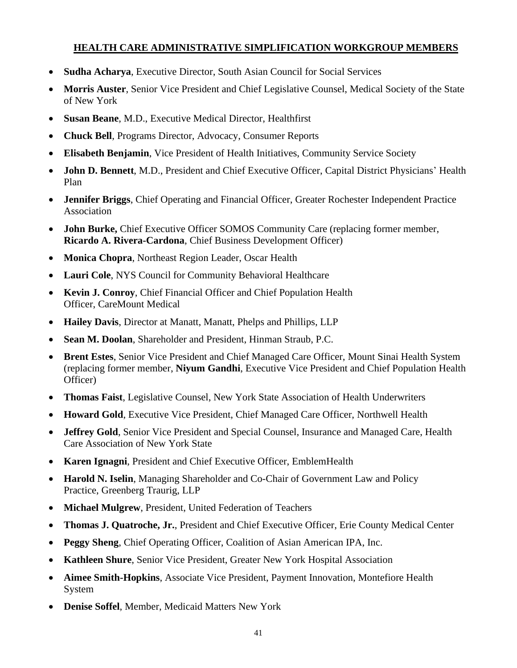# **HEALTH CARE ADMINISTRATIVE SIMPLIFICATION WORKGROUP MEMBERS**

- <span id="page-40-0"></span>• **Sudha Acharya**, Executive Director, South Asian Council for Social Services
- **Morris Auster**, Senior Vice President and Chief Legislative Counsel, Medical Society of the State of New York
- **Susan Beane**, M.D., Executive Medical Director, Healthfirst
- **Chuck Bell**, Programs Director, Advocacy, Consumer Reports
- **Elisabeth Benjamin**, Vice President of Health Initiatives, Community Service Society
- **John D. Bennett**, M.D., President and Chief Executive Officer, Capital District Physicians' Health Plan
- **Jennifer Briggs**, Chief Operating and Financial Officer, Greater Rochester Independent Practice Association
- **John Burke,** Chief Executive Officer SOMOS Community Care (replacing former member, **Ricardo A. Rivera-Cardona**, Chief Business Development Officer)
- **Monica Chopra**, Northeast Region Leader, Oscar Health
- **Lauri Cole**, NYS Council for Community Behavioral Healthcare
- **Kevin J. Conroy**, Chief Financial Officer and Chief Population Health Officer, CareMount Medical
- **Hailey Davis**, Director at Manatt, Manatt, Phelps and Phillips, LLP
- **Sean M. Doolan**, Shareholder and President, Hinman Straub, P.C.
- **Brent Estes**, Senior Vice President and Chief Managed Care Officer, Mount Sinai Health System (replacing former member, **Niyum Gandhi**, Executive Vice President and Chief Population Health Officer)
- **Thomas Faist**, Legislative Counsel, New York State Association of Health Underwriters
- **Howard Gold**, Executive Vice President, Chief Managed Care Officer, Northwell Health
- **Jeffrey Gold**, Senior Vice President and Special Counsel, Insurance and Managed Care, Health Care Association of New York State
- **Karen Ignagni**, President and Chief Executive Officer, EmblemHealth
- **Harold N. Iselin**, Managing Shareholder and Co-Chair of Government Law and Policy Practice, Greenberg Traurig, LLP
- **Michael Mulgrew**, President, United Federation of Teachers
- **Thomas J. Quatroche, Jr.**, President and Chief Executive Officer, Erie County Medical Center
- **Peggy Sheng**, Chief Operating Officer, Coalition of Asian American IPA, Inc.
- **Kathleen Shure**, Senior Vice President, Greater New York Hospital Association
- **Aimee Smith-Hopkins**, Associate Vice President, Payment Innovation, Montefiore Health System
- **Denise Soffel**, Member, Medicaid Matters New York